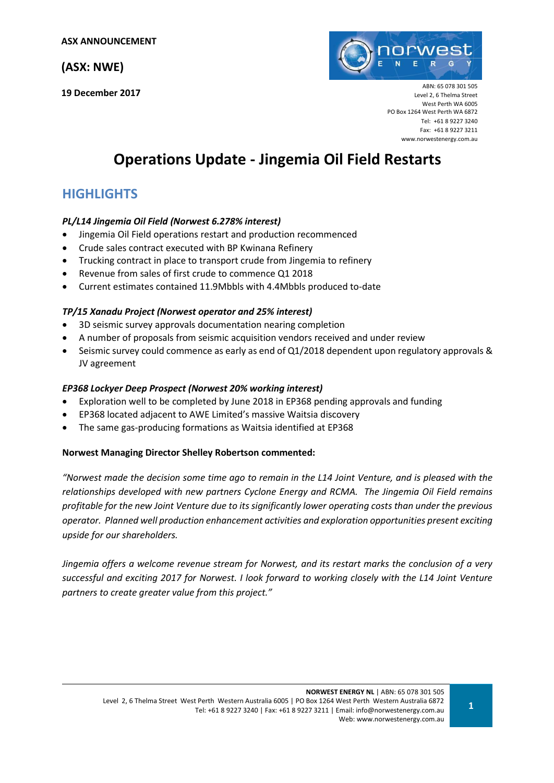# **(ASX: NWE)**

**19 December 2017**



ABN: 65 078 301 505 Level 2, 6 Thelma Street West Perth WA 6005 PO Box 1264 West Perth WA 6872 Tel: +61 8 9227 3240 Fax: +61 8 9227 3211 [www.norwestenergy.com.au](http://www.norwestenergy.com.au/)

# **Operations Update - Jingemia Oil Field Restarts**

# **HIGHLIGHTS**

# *PL/L14 Jingemia Oil Field (Norwest 6.278% interest)*

- Jingemia Oil Field operations restart and production recommenced
- Crude sales contract executed with BP Kwinana Refinery
- Trucking contract in place to transport crude from Jingemia to refinery
- Revenue from sales of first crude to commence Q1 2018
- Current estimates contained 11.9Mbbls with 4.4Mbbls produced to-date

### *TP/15 Xanadu Project (Norwest operator and 25% interest)*

- 3D seismic survey approvals documentation nearing completion
- A number of proposals from seismic acquisition vendors received and under review
- Seismic survey could commence as early as end of Q1/2018 dependent upon regulatory approvals & JV agreement

### *EP368 Lockyer Deep Prospect (Norwest 20% working interest)*

- Exploration well to be completed by June 2018 in EP368 pending approvals and funding
- EP368 located adjacent to AWE Limited's massive Waitsia discovery
- The same gas-producing formations as Waitsia identified at EP368

### **Norwest Managing Director Shelley Robertson commented:**

*"Norwest made the decision some time ago to remain in the L14 Joint Venture, and is pleased with the relationships developed with new partners Cyclone Energy and RCMA. The Jingemia Oil Field remains profitable for the new Joint Venture due to its significantly lower operating costs than under the previous operator. Planned well production enhancement activities and exploration opportunities present exciting upside for our shareholders.* 

*Jingemia offers a welcome revenue stream for Norwest, and its restart marks the conclusion of a very successful and exciting 2017 for Norwest. I look forward to working closely with the L14 Joint Venture partners to create greater value from this project."*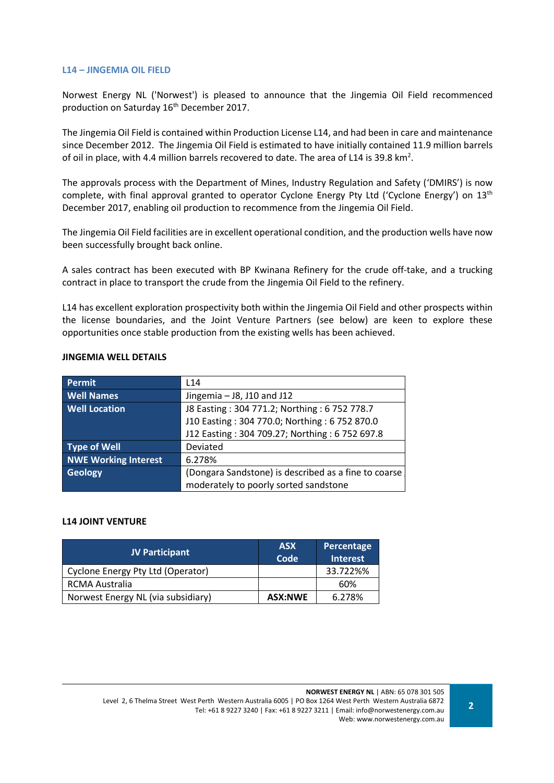### **L14 – JINGEMIA OIL FIELD**

Norwest Energy NL ('Norwest') is pleased to announce that the Jingemia Oil Field recommenced production on Saturday 16<sup>th</sup> December 2017.

The Jingemia Oil Field is contained within Production License L14, and had been in care and maintenance since December 2012. The Jingemia Oil Field is estimated to have initially contained 11.9 million barrels of oil in place, with 4.4 million barrels recovered to date. The area of L14 is 39.8 km<sup>2</sup>.

The approvals process with the Department of Mines, Industry Regulation and Safety ('DMIRS') is now complete, with final approval granted to operator Cyclone Energy Pty Ltd ('Cyclone Energy') on 13<sup>th</sup> December 2017, enabling oil production to recommence from the Jingemia Oil Field.

The Jingemia Oil Field facilities are in excellent operational condition, and the production wells have now been successfully brought back online.

A sales contract has been executed with BP Kwinana Refinery for the crude off-take, and a trucking contract in place to transport the crude from the Jingemia Oil Field to the refinery.

L14 has excellent exploration prospectivity both within the Jingemia Oil Field and other prospects within the license boundaries, and the Joint Venture Partners (see below) are keen to explore these opportunities once stable production from the existing wells has been achieved.

| <b>Permit</b>               | L14                                                  |
|-----------------------------|------------------------------------------------------|
| <b>Well Names</b>           | Jingemia - J8, J10 and J12                           |
| <b>Well Location</b>        | J8 Easting: 304 771.2; Northing: 6 752 778.7         |
|                             | J10 Easting: 304 770.0; Northing: 6 752 870.0        |
|                             | J12 Easting: 304 709.27; Northing: 6 752 697.8       |
| <b>Type of Well</b>         | Deviated                                             |
| <b>NWE Working Interest</b> | 6.278%                                               |
| <b>Geology</b>              | (Dongara Sandstone) is described as a fine to coarse |
|                             | moderately to poorly sorted sandstone                |

### **JINGEMIA WELL DETAILS**

#### **L14 JOINT VENTURE**

| <b>JV Participant</b>              | <b>ASX</b><br>Code | Percentage<br><b>Interest</b> |
|------------------------------------|--------------------|-------------------------------|
| Cyclone Energy Pty Ltd (Operator)  |                    | 33.722%%                      |
| RCMA Australia                     |                    | 60%                           |
| Norwest Energy NL (via subsidiary) | <b>ASX:NWE</b>     | 6.278%                        |

**NORWEST ENERGY NL** | ABN: 65 078 301 505 Level 2, 6 Thelma Street West Perth Western Australia 6005 | PO Box 1264 West Perth Western Australia 6872 Tel: +61 8 9227 3240 | Fax: +61 8 9227 3211 | Email: info@norwestenergy.com.au Web: www.norwestenergy.com.au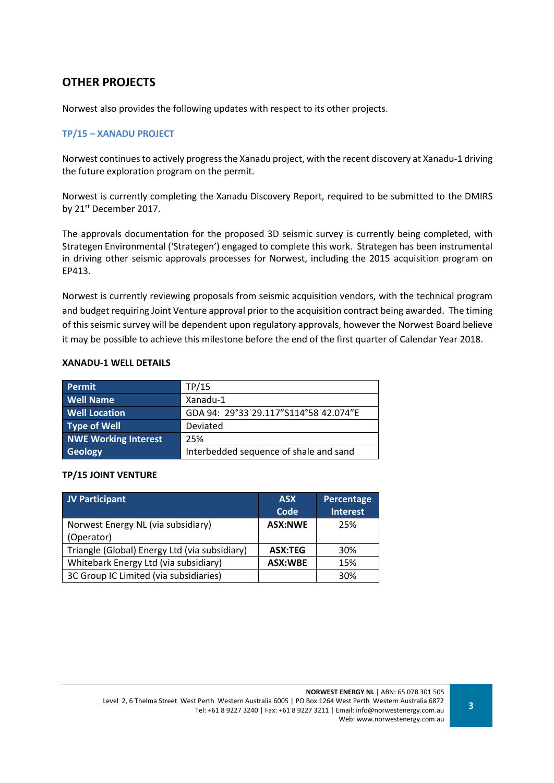# **OTHER PROJECTS**

Norwest also provides the following updates with respect to its other projects.

## **TP/15 – XANADU PROJECT**

Norwest continues to actively progress the Xanadu project, with the recent discovery at Xanadu-1 driving the future exploration program on the permit.

Norwest is currently completing the Xanadu Discovery Report, required to be submitted to the DMIRS by 21<sup>st</sup> December 2017.

The approvals documentation for the proposed 3D seismic survey is currently being completed, with Strategen Environmental ('Strategen') engaged to complete this work. Strategen has been instrumental in driving other seismic approvals processes for Norwest, including the 2015 acquisition program on EP413.

Norwest is currently reviewing proposals from seismic acquisition vendors, with the technical program and budget requiring Joint Venture approval prior to the acquisition contract being awarded. The timing of this seismic survey will be dependent upon regulatory approvals, however the Norwest Board believe it may be possible to achieve this milestone before the end of the first quarter of Calendar Year 2018.

### **XANADU-1 WELL DETAILS**

| Permit                      | TP/15                                  |
|-----------------------------|----------------------------------------|
| <b>Well Name</b>            | Xanadu-1                               |
| <b>Well Location</b>        | GDA 94: 29°33'29.117"S114°58'42.074"E  |
| <b>Type of Well</b>         | Deviated                               |
| <b>NWE Working Interest</b> | 25%                                    |
| Geology                     | Interbedded sequence of shale and sand |

### **TP/15 JOINT VENTURE**

| JV Participant                                | <b>ASX</b><br>Code | <b>Percentage</b><br><b>Interest</b> |
|-----------------------------------------------|--------------------|--------------------------------------|
| Norwest Energy NL (via subsidiary)            | <b>ASX:NWE</b>     | 25%                                  |
| (Operator)                                    |                    |                                      |
| Triangle (Global) Energy Ltd (via subsidiary) | <b>ASX:TEG</b>     | 30%                                  |
| Whitebark Energy Ltd (via subsidiary)         | <b>ASX:WBE</b>     | 15%                                  |
| 3C Group IC Limited (via subsidiaries)        |                    | 30%                                  |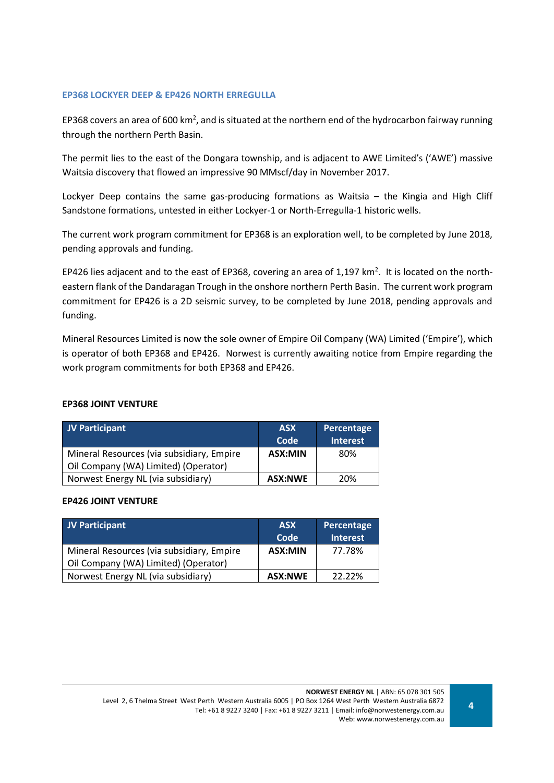### **EP368 LOCKYER DEEP & EP426 NORTH ERREGULLA**

EP368 covers an area of 600 km<sup>2</sup>, and is situated at the northern end of the hydrocarbon fairway running through the northern Perth Basin.

The permit lies to the east of the Dongara township, and is adjacent to AWE Limited's ('AWE') massive Waitsia discovery that flowed an impressive 90 MMscf/day in November 2017.

Lockyer Deep contains the same gas-producing formations as Waitsia – the Kingia and High Cliff Sandstone formations, untested in either Lockyer-1 or North-Erregulla-1 historic wells.

The current work program commitment for EP368 is an exploration well, to be completed by June 2018, pending approvals and funding.

EP426 lies adjacent and to the east of EP368, covering an area of 1,197 km<sup>2</sup>. It is located on the northeastern flank of the Dandaragan Trough in the onshore northern Perth Basin. The current work program commitment for EP426 is a 2D seismic survey, to be completed by June 2018, pending approvals and funding.

Mineral Resources Limited is now the sole owner of Empire Oil Company (WA) Limited ('Empire'), which is operator of both EP368 and EP426. Norwest is currently awaiting notice from Empire regarding the work program commitments for both EP368 and EP426.

### **EP368 JOINT VENTURE**

| <b>JV Participant</b>                                                             | <b>ASX</b><br>Code | Percentage<br><b>Interest</b> |
|-----------------------------------------------------------------------------------|--------------------|-------------------------------|
| Mineral Resources (via subsidiary, Empire<br>Oil Company (WA) Limited) (Operator) | ASX:MIN            | 80%                           |
| Norwest Energy NL (via subsidiary)                                                | <b>ASX:NWE</b>     | 20%                           |

#### **EP426 JOINT VENTURE**

| JV Participant                            | <b>ASX</b><br>Code | Percentage<br><b>Interest</b> |
|-------------------------------------------|--------------------|-------------------------------|
| Mineral Resources (via subsidiary, Empire | ASX:MIN            | 77.78%                        |
| Oil Company (WA) Limited) (Operator)      |                    |                               |
| Norwest Energy NL (via subsidiary)        | <b>ASX:NWE</b>     | 22.22%                        |